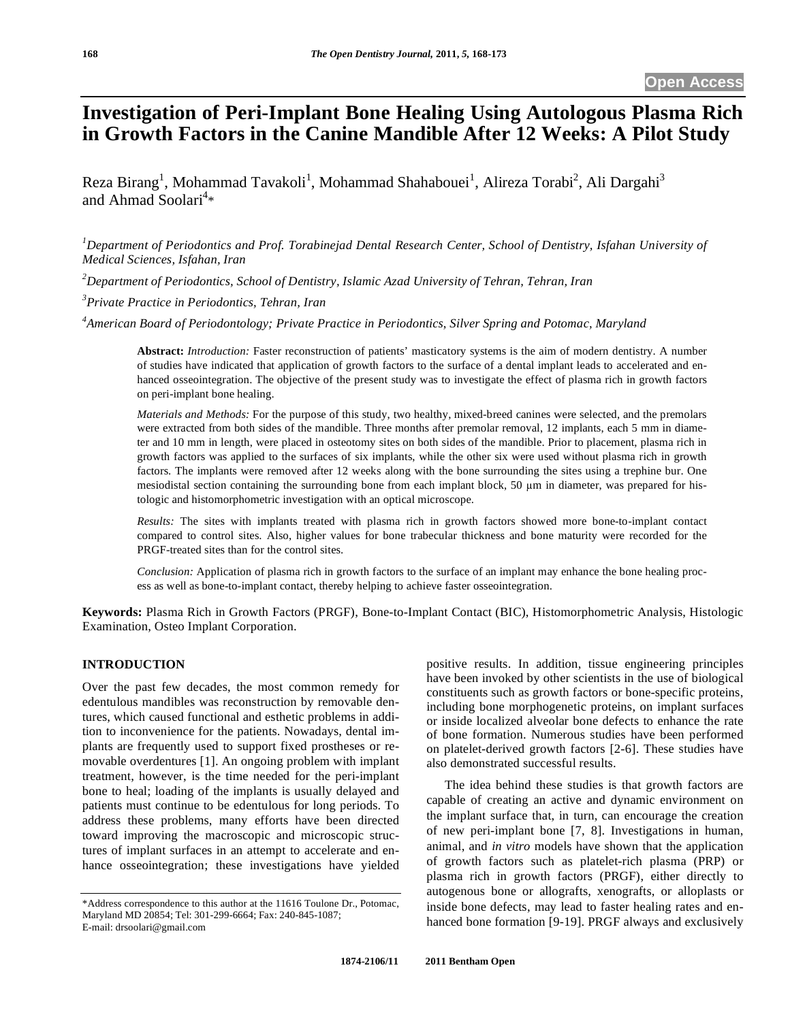# **Investigation of Peri-Implant Bone Healing Using Autologous Plasma Rich in Growth Factors in the Canine Mandible After 12 Weeks: A Pilot Study**

Reza Birang<sup>1</sup>, Mohammad Tavakoli<sup>1</sup>, Mohammad Shahabouei<sup>1</sup>, Alireza Torabi<sup>2</sup>, Ali Dargahi<sup>3</sup> and Ahmad Soolari<sup>4</sup>\*

<sup>1</sup>Department of Periodontics and Prof. Torabinejad Dental Research Center, School of Dentistry, Isfahan University of *Medical Sciences, Isfahan, Iran* 

*2 Department of Periodontics, School of Dentistry, Islamic Azad University of Tehran, Tehran, Iran* 

*3 Private Practice in Periodontics, Tehran, Iran* 

*4 American Board of Periodontology; Private Practice in Periodontics, Silver Spring and Potomac, Maryland* 

**Abstract:** *Introduction:* Faster reconstruction of patients' masticatory systems is the aim of modern dentistry. A number of studies have indicated that application of growth factors to the surface of a dental implant leads to accelerated and enhanced osseointegration. The objective of the present study was to investigate the effect of plasma rich in growth factors on peri-implant bone healing.

*Materials and Methods:* For the purpose of this study, two healthy, mixed-breed canines were selected, and the premolars were extracted from both sides of the mandible. Three months after premolar removal, 12 implants, each 5 mm in diameter and 10 mm in length, were placed in osteotomy sites on both sides of the mandible. Prior to placement, plasma rich in growth factors was applied to the surfaces of six implants, while the other six were used without plasma rich in growth factors. The implants were removed after 12 weeks along with the bone surrounding the sites using a trephine bur. One mesiodistal section containing the surrounding bone from each implant block, 50  $\mu$ m in diameter, was prepared for histologic and histomorphometric investigation with an optical microscope.

*Results:* The sites with implants treated with plasma rich in growth factors showed more bone-to-implant contact compared to control sites. Also, higher values for bone trabecular thickness and bone maturity were recorded for the PRGF-treated sites than for the control sites.

*Conclusion:* Application of plasma rich in growth factors to the surface of an implant may enhance the bone healing process as well as bone-to-implant contact, thereby helping to achieve faster osseointegration.

**Keywords:** Plasma Rich in Growth Factors (PRGF), Bone-to-Implant Contact (BIC), Histomorphometric Analysis, Histologic Examination, Osteo Implant Corporation.

# **INTRODUCTION**

Over the past few decades, the most common remedy for edentulous mandibles was reconstruction by removable dentures, which caused functional and esthetic problems in addition to inconvenience for the patients. Nowadays, dental implants are frequently used to support fixed prostheses or removable overdentures [1]. An ongoing problem with implant treatment, however, is the time needed for the peri-implant bone to heal; loading of the implants is usually delayed and patients must continue to be edentulous for long periods. To address these problems, many efforts have been directed toward improving the macroscopic and microscopic structures of implant surfaces in an attempt to accelerate and enhance osseointegration; these investigations have yielded

positive results. In addition, tissue engineering principles have been invoked by other scientists in the use of biological constituents such as growth factors or bone-specific proteins, including bone morphogenetic proteins, on implant surfaces or inside localized alveolar bone defects to enhance the rate of bone formation. Numerous studies have been performed on platelet-derived growth factors [2-6]. These studies have also demonstrated successful results.

The idea behind these studies is that growth factors are capable of creating an active and dynamic environment on the implant surface that, in turn, can encourage the creation of new peri-implant bone [7, 8]. Investigations in human, animal, and *in vitro* models have shown that the application of growth factors such as platelet-rich plasma (PRP) or plasma rich in growth factors (PRGF), either directly to autogenous bone or allografts, xenografts, or alloplasts or inside bone defects, may lead to faster healing rates and enhanced bone formation [9-19]. PRGF always and exclusively

<sup>\*</sup>Address correspondence to this author at the 11616 Toulone Dr., Potomac, Maryland MD 20854; Tel: 301-299-6664; Fax: 240-845-1087; E-mail: drsoolari@gmail.com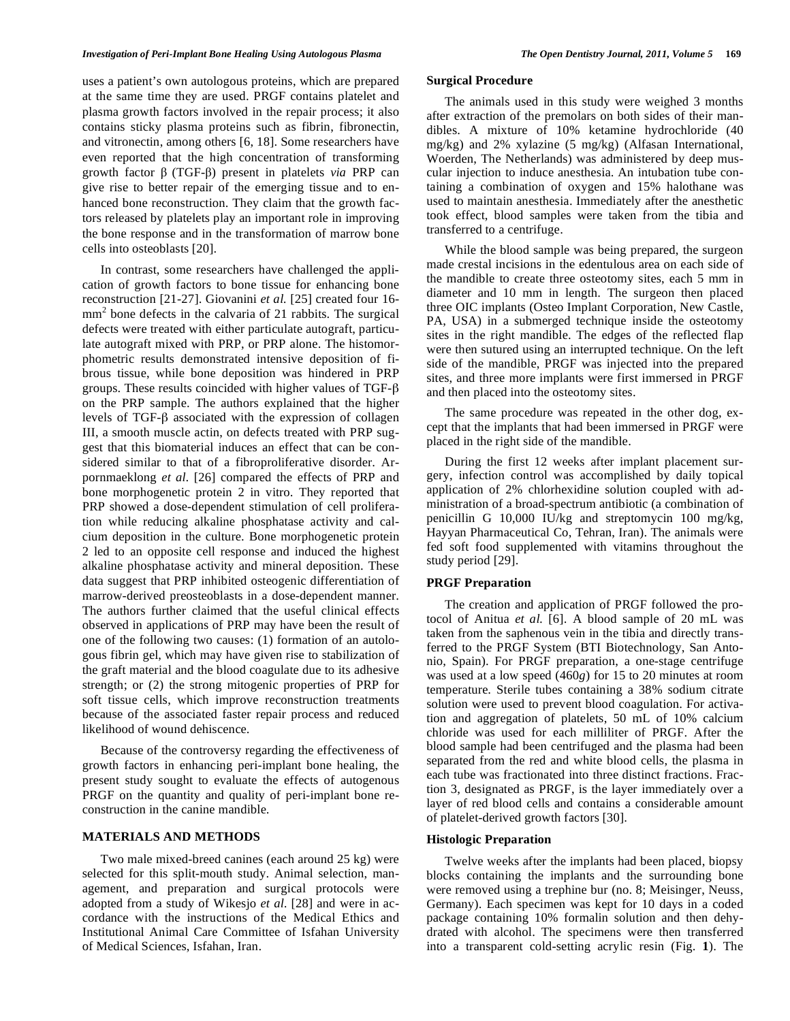### *Investigation of Peri-Implant Bone Healing Using Autologous Plasma The Open Dentistry Journal, 2011, Volume 5* **169**

uses a patient's own autologous proteins, which are prepared at the same time they are used. PRGF contains platelet and plasma growth factors involved in the repair process; it also contains sticky plasma proteins such as fibrin, fibronectin, and vitronectin, among others [6, 18]. Some researchers have even reported that the high concentration of transforming growth factor  $\beta$  (TGF- $\beta$ ) present in platelets *via* PRP can give rise to better repair of the emerging tissue and to enhanced bone reconstruction. They claim that the growth factors released by platelets play an important role in improving the bone response and in the transformation of marrow bone cells into osteoblasts [20].

In contrast, some researchers have challenged the application of growth factors to bone tissue for enhancing bone reconstruction [21-27]. Giovanini *et al.* [25] created four 16  $mm<sup>2</sup>$  bone defects in the calvaria of 21 rabbits. The surgical defects were treated with either particulate autograft, particulate autograft mixed with PRP, or PRP alone. The histomorphometric results demonstrated intensive deposition of fibrous tissue, while bone deposition was hindered in PRP groups. These results coincided with higher values of TGF- $\beta$ on the PRP sample. The authors explained that the higher levels of TGF- $\beta$  associated with the expression of collagen III, a smooth muscle actin, on defects treated with PRP suggest that this biomaterial induces an effect that can be considered similar to that of a fibroproliferative disorder. Arpornmaeklong *et al.* [26] compared the effects of PRP and bone morphogenetic protein 2 in vitro. They reported that PRP showed a dose-dependent stimulation of cell proliferation while reducing alkaline phosphatase activity and calcium deposition in the culture. Bone morphogenetic protein 2 led to an opposite cell response and induced the highest alkaline phosphatase activity and mineral deposition. These data suggest that PRP inhibited osteogenic differentiation of marrow-derived preosteoblasts in a dose-dependent manner. The authors further claimed that the useful clinical effects observed in applications of PRP may have been the result of one of the following two causes: (1) formation of an autologous fibrin gel, which may have given rise to stabilization of the graft material and the blood coagulate due to its adhesive strength; or (2) the strong mitogenic properties of PRP for soft tissue cells, which improve reconstruction treatments because of the associated faster repair process and reduced likelihood of wound dehiscence.

Because of the controversy regarding the effectiveness of growth factors in enhancing peri-implant bone healing, the present study sought to evaluate the effects of autogenous PRGF on the quantity and quality of peri-implant bone reconstruction in the canine mandible.

# **MATERIALS AND METHODS**

Two male mixed-breed canines (each around 25 kg) were selected for this split-mouth study. Animal selection, management, and preparation and surgical protocols were adopted from a study of Wikesjo *et al.* [28] and were in accordance with the instructions of the Medical Ethics and Institutional Animal Care Committee of Isfahan University of Medical Sciences, Isfahan, Iran.

# **Surgical Procedure**

The animals used in this study were weighed 3 months after extraction of the premolars on both sides of their mandibles. A mixture of 10% ketamine hydrochloride (40 mg/kg) and 2% xylazine (5 mg/kg) (Alfasan International, Woerden, The Netherlands) was administered by deep muscular injection to induce anesthesia. An intubation tube containing a combination of oxygen and 15% halothane was used to maintain anesthesia. Immediately after the anesthetic took effect, blood samples were taken from the tibia and transferred to a centrifuge.

While the blood sample was being prepared, the surgeon made crestal incisions in the edentulous area on each side of the mandible to create three osteotomy sites, each 5 mm in diameter and 10 mm in length. The surgeon then placed three OIC implants (Osteo Implant Corporation, New Castle, PA, USA) in a submerged technique inside the osteotomy sites in the right mandible. The edges of the reflected flap were then sutured using an interrupted technique. On the left side of the mandible, PRGF was injected into the prepared sites, and three more implants were first immersed in PRGF and then placed into the osteotomy sites.

The same procedure was repeated in the other dog, except that the implants that had been immersed in PRGF were placed in the right side of the mandible.

During the first 12 weeks after implant placement surgery, infection control was accomplished by daily topical application of 2% chlorhexidine solution coupled with administration of a broad-spectrum antibiotic (a combination of penicillin G 10,000 IU/kg and streptomycin 100 mg/kg, Hayyan Pharmaceutical Co, Tehran, Iran). The animals were fed soft food supplemented with vitamins throughout the study period [29].

#### **PRGF Preparation**

The creation and application of PRGF followed the protocol of Anitua *et al.* [6]. A blood sample of 20 mL was taken from the saphenous vein in the tibia and directly transferred to the PRGF System (BTI Biotechnology, San Antonio, Spain). For PRGF preparation, a one-stage centrifuge was used at a low speed (460*g*) for 15 to 20 minutes at room temperature. Sterile tubes containing a 38% sodium citrate solution were used to prevent blood coagulation. For activation and aggregation of platelets, 50 mL of 10% calcium chloride was used for each milliliter of PRGF. After the blood sample had been centrifuged and the plasma had been separated from the red and white blood cells, the plasma in each tube was fractionated into three distinct fractions. Fraction 3, designated as PRGF, is the layer immediately over a layer of red blood cells and contains a considerable amount of platelet-derived growth factors [30].

#### **Histologic Preparation**

Twelve weeks after the implants had been placed, biopsy blocks containing the implants and the surrounding bone were removed using a trephine bur (no. 8; Meisinger, Neuss, Germany). Each specimen was kept for 10 days in a coded package containing 10% formalin solution and then dehydrated with alcohol. The specimens were then transferred into a transparent cold-setting acrylic resin (Fig. **1**). The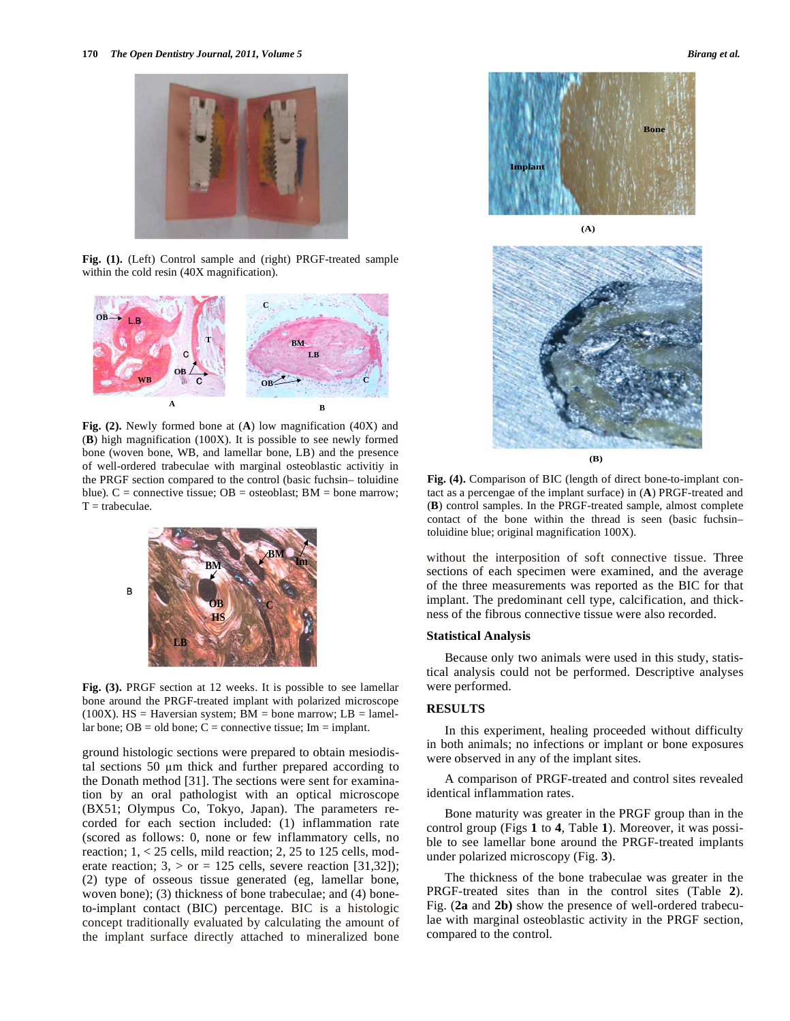

**Fig. (1).** (Left) Control sample and (right) PRGF-treated sample within the cold resin (40X magnification).



**Fig. (2).** Newly formed bone at (**A**) low magnification (40X) and (**B**) high magnification (100X). It is possible to see newly formed bone (woven bone, WB, and lamellar bone, LB) and the presence of well-ordered trabeculae with marginal osteoblastic activitiy in the PRGF section compared to the control (basic fuchsin– toluidine blue).  $C =$  connective tissue; OB = osteoblast; BM = bone marrow;  $T =$ trabeculae.



**Fig. (3).** PRGF section at 12 weeks. It is possible to see lamellar bone around the PRGF-treated implant with polarized microscope (100X). HS = Haversian system; BM = bone marrow; LB = lamellar bone;  $OB = old$  bone;  $C =$  connective tissue; Im = implant.

ground histologic sections were prepared to obtain mesiodistal sections 50 µm thick and further prepared according to the Donath method [31]. The sections were sent for examination by an oral pathologist with an optical microscope (BX51; Olympus Co, Tokyo, Japan). The parameters recorded for each section included: (1) inflammation rate (scored as follows: 0, none or few inflammatory cells, no reaction; 1, < 25 cells, mild reaction; 2, 25 to 125 cells, moderate reaction;  $3$ ,  $>$  or = 125 cells, severe reaction [31,32]); (2) type of osseous tissue generated (eg, lamellar bone, woven bone); (3) thickness of bone trabeculae; and (4) boneto-implant contact (BIC) percentage. BIC is a histologic concept traditionally evaluated by calculating the amount of the implant surface directly attached to mineralized bone





**Fig. (4).** Comparison of BIC (length of direct bone-to-implant contact as a percengae of the implant surface) in (**A**) PRGF-treated and (**B**) control samples. In the PRGF-treated sample, almost complete contact of the bone within the thread is seen (basic fuchsin– toluidine blue; original magnification 100X).

without the interposition of soft connective tissue. Three sections of each specimen were examined, and the average of the three measurements was reported as the BIC for that implant. The predominant cell type, calcification, and thickness of the fibrous connective tissue were also recorded.

# **Statistical Analysis**

Because only two animals were used in this study, statistical analysis could not be performed. Descriptive analyses were performed.

#### **RESULTS**

In this experiment, healing proceeded without difficulty in both animals; no infections or implant or bone exposures were observed in any of the implant sites.

A comparison of PRGF-treated and control sites revealed identical inflammation rates.

Bone maturity was greater in the PRGF group than in the control group (Figs **1** to **4**, Table **1**). Moreover, it was possible to see lamellar bone around the PRGF-treated implants under polarized microscopy (Fig. **3**).

The thickness of the bone trabeculae was greater in the PRGF-treated sites than in the control sites (Table **2**). Fig. (**2a** and **2b)** show the presence of well-ordered trabeculae with marginal osteoblastic activity in the PRGF section, compared to the control.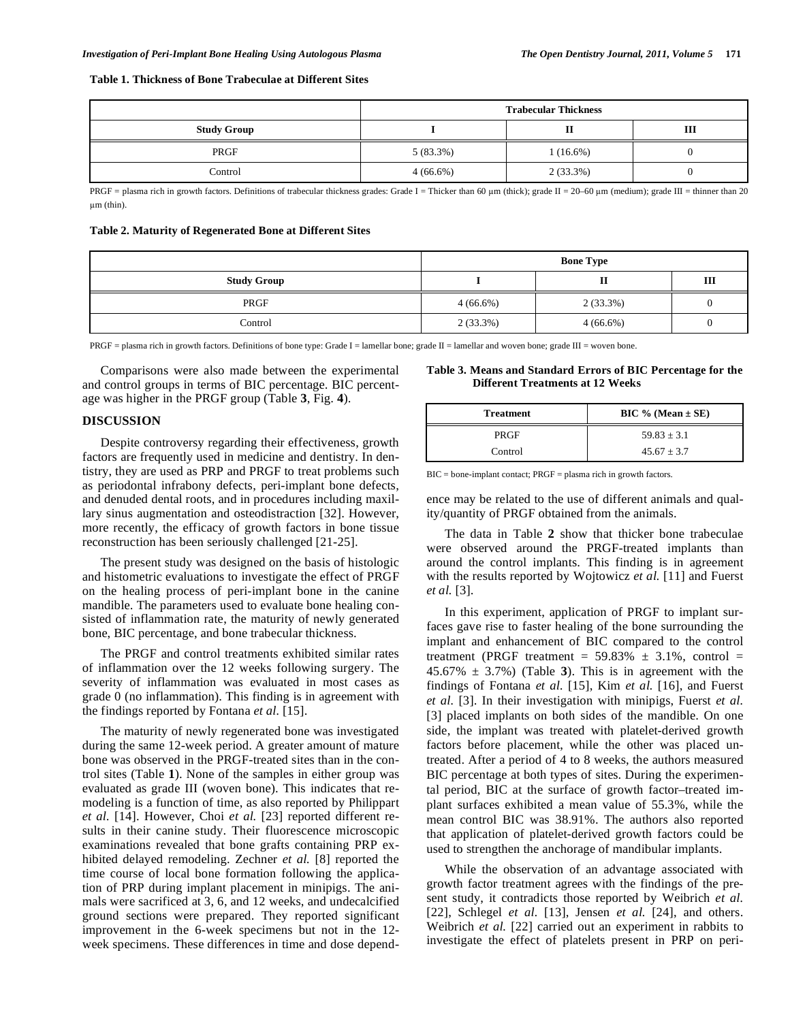#### **Table 1. Thickness of Bone Trabeculae at Different Sites**

|                    | <b>Trabecular Thickness</b> |             |   |
|--------------------|-----------------------------|-------------|---|
| <b>Study Group</b> |                             |             | Ш |
| PRGF               | $5(83.3\%)$                 | $1(16.6\%)$ |   |
| Control            | $4(66.6\%)$                 | $2(33.3\%)$ |   |

PRGF = plasma rich in growth factors. Definitions of trabecular thickness grades: Grade I = Thicker than 60  $\mu$ m (thick); grade II = 20–60  $\mu$ m (medium); grade III = thinner than 20 um (thin).

**Table 2. Maturity of Regenerated Bone at Different Sites** 

|                    | <b>Bone Type</b> |             |   |
|--------------------|------------------|-------------|---|
| <b>Study Group</b> |                  | ш           | Ш |
| PRGF               | $4(66.6\%)$      | $2(33.3\%)$ |   |
| Control            | $2(33.3\%)$      | $4(66.6\%)$ |   |

PRGF = plasma rich in growth factors. Definitions of bone type: Grade I = lamellar bone; grade II = lamellar and woven bone; grade III = woven bone.

Comparisons were also made between the experimental and control groups in terms of BIC percentage. BIC percentage was higher in the PRGF group (Table **3**, Fig. **4**).

#### **DISCUSSION**

Despite controversy regarding their effectiveness, growth factors are frequently used in medicine and dentistry. In dentistry, they are used as PRP and PRGF to treat problems such as periodontal infrabony defects, peri-implant bone defects, and denuded dental roots, and in procedures including maxillary sinus augmentation and osteodistraction [32]. However, more recently, the efficacy of growth factors in bone tissue reconstruction has been seriously challenged [21-25].

The present study was designed on the basis of histologic and histometric evaluations to investigate the effect of PRGF on the healing process of peri-implant bone in the canine mandible. The parameters used to evaluate bone healing consisted of inflammation rate, the maturity of newly generated bone, BIC percentage, and bone trabecular thickness.

The PRGF and control treatments exhibited similar rates of inflammation over the 12 weeks following surgery. The severity of inflammation was evaluated in most cases as grade 0 (no inflammation). This finding is in agreement with the findings reported by Fontana *et al.* [15].

The maturity of newly regenerated bone was investigated during the same 12-week period. A greater amount of mature bone was observed in the PRGF-treated sites than in the control sites (Table **1**). None of the samples in either group was evaluated as grade III (woven bone). This indicates that remodeling is a function of time, as also reported by Philippart *et al.* [14]. However, Choi *et al.* [23] reported different results in their canine study. Their fluorescence microscopic examinations revealed that bone grafts containing PRP exhibited delayed remodeling. Zechner *et al.* [8] reported the time course of local bone formation following the application of PRP during implant placement in minipigs. The animals were sacrificed at 3, 6, and 12 weeks, and undecalcified ground sections were prepared. They reported significant improvement in the 6-week specimens but not in the 12 week specimens. These differences in time and dose depend-

**Table 3. Means and Standard Errors of BIC Percentage for the Different Treatments at 12 Weeks** 

| <b>Treatment</b> | $BIC \% (Mean \pm SE)$ |
|------------------|------------------------|
| PRGF             | $59.83 \pm 3.1$        |
| Control          | $45.67 \pm 3.7$        |

BIC = bone-implant contact; PRGF = plasma rich in growth factors.

ence may be related to the use of different animals and quality/quantity of PRGF obtained from the animals.

The data in Table **2** show that thicker bone trabeculae were observed around the PRGF-treated implants than around the control implants. This finding is in agreement with the results reported by Wojtowicz *et al.* [11] and Fuerst *et al.* [3].

In this experiment, application of PRGF to implant surfaces gave rise to faster healing of the bone surrounding the implant and enhancement of BIC compared to the control treatment (PRGF treatment =  $59.83\% \pm 3.1\%$ , control =  $45.67\% \pm 3.7\%$ ) (Table 3). This is in agreement with the findings of Fontana *et al.* [15], Kim *et al.* [16], and Fuerst *et al.* [3]. In their investigation with minipigs, Fuerst *et al.* [3] placed implants on both sides of the mandible. On one side, the implant was treated with platelet-derived growth factors before placement, while the other was placed untreated. After a period of 4 to 8 weeks, the authors measured BIC percentage at both types of sites. During the experimental period, BIC at the surface of growth factor–treated implant surfaces exhibited a mean value of 55.3%, while the mean control BIC was 38.91%. The authors also reported that application of platelet-derived growth factors could be used to strengthen the anchorage of mandibular implants.

While the observation of an advantage associated with growth factor treatment agrees with the findings of the present study, it contradicts those reported by Weibrich *et al.* [22], Schlegel *et al.* [13], Jensen *et al.* [24], and others. Weibrich *et al.* [22] carried out an experiment in rabbits to investigate the effect of platelets present in PRP on peri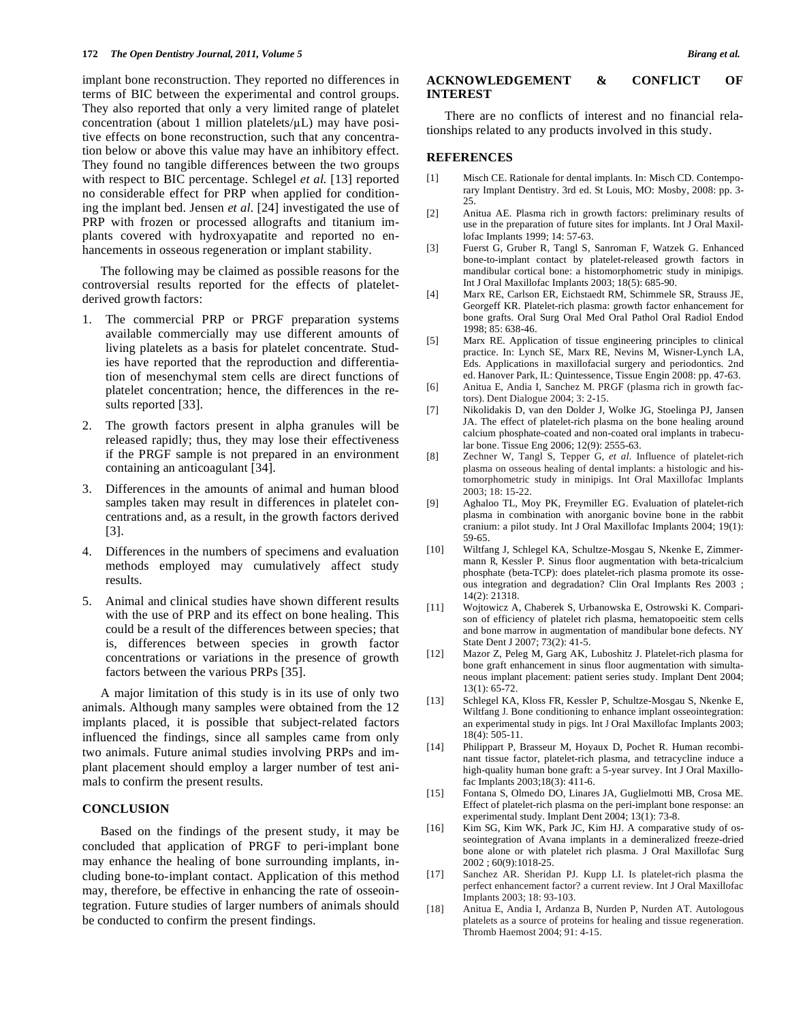implant bone reconstruction. They reported no differences in terms of BIC between the experimental and control groups. They also reported that only a very limited range of platelet concentration (about 1 million platelets/ $\mu$ L) may have positive effects on bone reconstruction, such that any concentration below or above this value may have an inhibitory effect. They found no tangible differences between the two groups with respect to BIC percentage. Schlegel *et al.* [13] reported no considerable effect for PRP when applied for conditioning the implant bed. Jensen *et al.* [24] investigated the use of PRP with frozen or processed allografts and titanium implants covered with hydroxyapatite and reported no enhancements in osseous regeneration or implant stability.

The following may be claimed as possible reasons for the controversial results reported for the effects of plateletderived growth factors:

- 1. The commercial PRP or PRGF preparation systems available commercially may use different amounts of living platelets as a basis for platelet concentrate. Studies have reported that the reproduction and differentiation of mesenchymal stem cells are direct functions of platelet concentration; hence, the differences in the results reported [33].
- The growth factors present in alpha granules will be released rapidly; thus, they may lose their effectiveness if the PRGF sample is not prepared in an environment containing an anticoagulant [34].
- 3. Differences in the amounts of animal and human blood samples taken may result in differences in platelet concentrations and, as a result, in the growth factors derived [3].
- 4. Differences in the numbers of specimens and evaluation methods employed may cumulatively affect study results.
- 5. Animal and clinical studies have shown different results with the use of PRP and its effect on bone healing. This could be a result of the differences between species; that is, differences between species in growth factor concentrations or variations in the presence of growth factors between the various PRPs [35].

A major limitation of this study is in its use of only two animals. Although many samples were obtained from the 12 implants placed, it is possible that subject-related factors influenced the findings, since all samples came from only two animals. Future animal studies involving PRPs and implant placement should employ a larger number of test animals to confirm the present results.

# **CONCLUSION**

Based on the findings of the present study, it may be concluded that application of PRGF to peri-implant bone may enhance the healing of bone surrounding implants, including bone-to-implant contact. Application of this method may, therefore, be effective in enhancing the rate of osseointegration. Future studies of larger numbers of animals should be conducted to confirm the present findings.

# **ACKNOWLEDGEMENT & CONFLICT OF INTEREST**

There are no conflicts of interest and no financial relationships related to any products involved in this study.

# **REFERENCES**

- [1] Misch CE. Rationale for dental implants. In: Misch CD. Contemporary Implant Dentistry. 3rd ed. St Louis, MO: Mosby, 2008: pp. 3- 25.
- [2] Anitua AE. Plasma rich in growth factors: preliminary results of use in the preparation of future sites for implants. Int J Oral Maxillofac Implants 1999; 14: 57-63.
- [3] Fuerst G, Gruber R, Tangl S, Sanroman F, Watzek G. Enhanced bone-to-implant contact by platelet-released growth factors in mandibular cortical bone: a histomorphometric study in minipigs. Int J Oral Maxillofac Implants 2003; 18(5): 685-90.
- [4] Marx RE, Carlson ER, Eichstaedt RM, Schimmele SR, Strauss JE, Georgeff KR. Platelet-rich plasma: growth factor enhancement for bone grafts. Oral Surg Oral Med Oral Pathol Oral Radiol Endod 1998; 85: 638-46.
- [5] Marx RE. Application of tissue engineering principles to clinical practice. In: Lynch SE, Marx RE, Nevins M, Wisner-Lynch LA, Eds. Applications in maxillofacial surgery and periodontics. 2nd ed. Hanover Park, IL: Quintessence, Tissue Engin 2008: pp. 47-63.
- [6] Anitua E, Andia I, Sanchez M. PRGF (plasma rich in growth factors). Dent Dialogue 2004; 3: 2-15.
- [7] Nikolidakis D, van den Dolder J, Wolke JG, Stoelinga PJ, Jansen JA. The effect of platelet-rich plasma on the bone healing around calcium phosphate-coated and non-coated oral implants in trabecular bone. Tissue Eng 2006; 12(9): 2555-63.
- [8] Zechner W, Tangl S, Tepper G, *et al*. Influence of platelet-rich plasma on osseous healing of dental implants: a histologic and histomorphometric study in minipigs. Int Oral Maxillofac Implants 2003; 18: 15-22.
- [9] Aghaloo TL, Moy PK, Freymiller EG. Evaluation of platelet-rich plasma in combination with anorganic bovine bone in the rabbit cranium: a pilot study. Int J Oral Maxillofac Implants 2004; 19(1): 59-65.
- [10] Wiltfang J, Schlegel KA, Schultze-Mosgau S, Nkenke E, Zimmermann R, Kessler P. Sinus floor augmentation with beta-tricalcium phosphate (beta-TCP): does platelet-rich plasma promote its osseous integration and degradation? Clin Oral Implants Res 2003 ; 14(2): 21318.
- [11] Wojtowicz A, Chaberek S, Urbanowska E, Ostrowski K. Comparison of efficiency of platelet rich plasma, hematopoeitic stem cells and bone marrow in augmentation of mandibular bone defects. NY State Dent J 2007; 73(2): 41-5.
- [12] Mazor Z, Peleg M, Garg AK, Luboshitz J. Platelet-rich plasma for bone graft enhancement in sinus floor augmentation with simultaneous implant placement: patient series study. Implant Dent 2004; 13(1): 65-72.
- [13] Schlegel KA, Kloss FR, Kessler P, Schultze-Mosgau S, Nkenke E, Wiltfang J. Bone conditioning to enhance implant osseointegration: an experimental study in pigs. Int J Oral Maxillofac Implants 2003; 18(4): 505-11.
- [14] Philippart P, Brasseur M, Hoyaux D, Pochet R. Human recombinant tissue factor, platelet-rich plasma, and tetracycline induce a high-quality human bone graft: a 5-year survey. Int J Oral Maxillofac Implants 2003;18(3): 411-6.
- [15] Fontana S, Olmedo DO, Linares JA, Guglielmotti MB, Crosa ME. Effect of platelet-rich plasma on the peri-implant bone response: an experimental study. Implant Dent 2004; 13(1): 73-8.
- [16] Kim SG, Kim WK, Park JC, Kim HJ. A comparative study of osseointegration of Avana implants in a demineralized freeze-dried bone alone or with platelet rich plasma. J Oral Maxillofac Surg 2002 ; 60(9):1018-25.
- [17] Sanchez AR. Sheridan PJ. Kupp LI. Is platelet-rich plasma the perfect enhancement factor? a current review. Int J Oral Maxillofac Implants 2003; 18: 93-103.
- [18] Anitua E, Andia I, Ardanza B, Nurden P, Nurden AT. Autologous platelets as a source of proteins for healing and tissue regeneration. Thromb Haemost 2004; 91: 4-15.